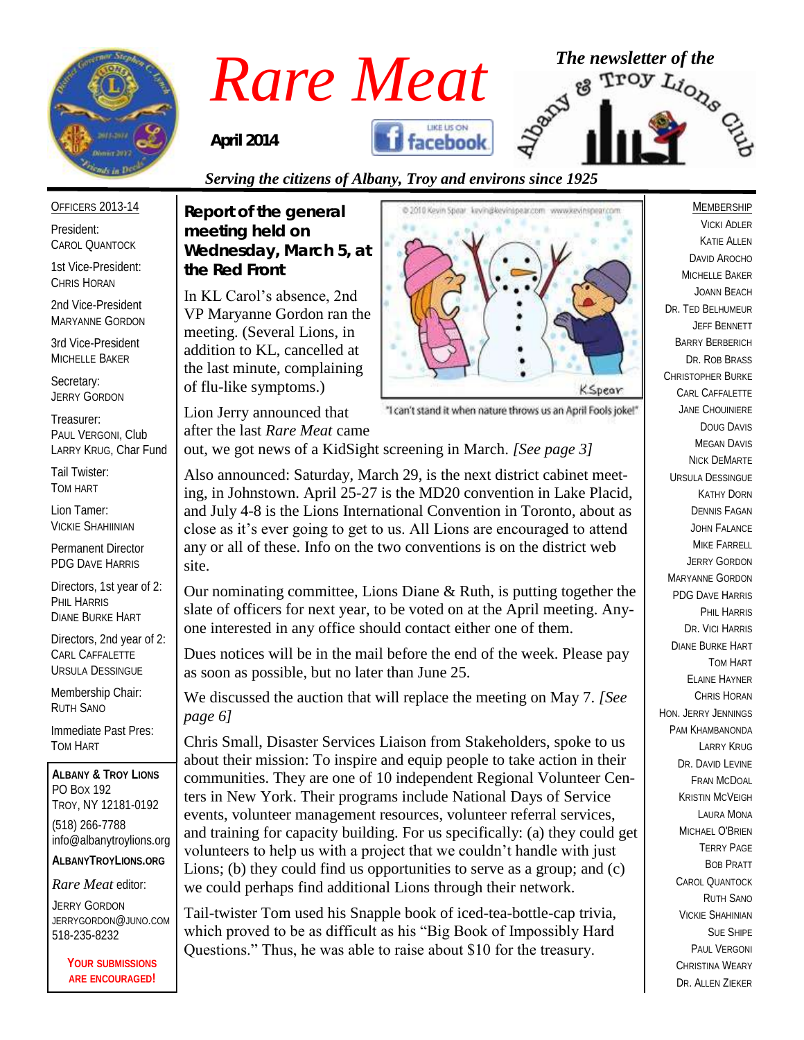

# *Rare Meat* The newsletter of the Rare Meat of the strong of  $R_{\text{April 2014}}$  **S**

*April 2014* 



### *Serving the citizens of Albany, Troy and environs since 1925*

President: CAROL QUANTOCK

OFFICERS 2013-14

1st Vice-President: CHRIS HORAN

2nd Vice-President MARYANNE GORDON

3rd Vice-President MICHELLE BAKER

Secretary: JERRY GORDON

Treasurer: PAUL VERGONI, Club LARRY KRUG, Char Fund

Tail Twister: TOM HART

Lion Tamer: VICKIE SHAHIINIAN

Permanent Director PDG DAVE HARRIS

Directors, 1st year of 2: PHIL HARRIS DIANE BURKE HART

Directors, 2nd year of 2: CARL CAFFALETTE URSULA DESSINGUE

Membership Chair: RUTH SANO

Immediate Past Pres: TOM HART

**ALBANY & TROY LIONS** PO BOX 192 TROY, NY 12181-0192 (518) 266-7788 info@albanytroylions.org **ALBANYTROYLIONS.ORG**

*Rare Meat* editor:

JERRY GORDON JERRYGORDON@JUNO.COM 518-235-8232

> **YOUR SUBMISSIONS ARE ENCOURAGED!**

*Report of the general meeting held on Wednesday, March 5, at the Red Front* 

In KL Carol's absence, 2nd VP Maryanne Gordon ran the meeting. (Several Lions, in addition to KL, cancelled at the last minute, complaining of flu-like symptoms.)

Lion Jerry announced that



"I can't stand it when nature throws us an April Fools joke!"

after the last *Rare Meat* came out, we got news of a KidSight screening in March. *[See page 3]*

Also announced: Saturday, March 29, is the next district cabinet meeting, in Johnstown. April 25-27 is the MD20 convention in Lake Placid, and July 4-8 is the Lions International Convention in Toronto, about as close as it's ever going to get to us. All Lions are encouraged to attend any or all of these. Info on the two conventions is on the district web site.

Our nominating committee, Lions Diane & Ruth, is putting together the slate of officers for next year, to be voted on at the April meeting. Anyone interested in any office should contact either one of them.

Dues notices will be in the mail before the end of the week. Please pay as soon as possible, but no later than June 25.

We discussed the auction that will replace the meeting on May 7. *[See page 6]*

Chris Small, Disaster Services Liaison from Stakeholders, spoke to us about their mission: To inspire and equip people to take action in their communities. They are one of 10 independent Regional Volunteer Centers in New York. Their programs include National Days of Service events, volunteer management resources, volunteer referral services, and training for capacity building. For us specifically: (a) they could get volunteers to help us with a project that we couldn't handle with just Lions; (b) they could find us opportunities to serve as a group; and (c) we could perhaps find additional Lions through their network.

Tail-twister Tom used his Snapple book of iced-tea-bottle-cap trivia, which proved to be as difficult as his "Big Book of Impossibly Hard Questions." Thus, he was able to raise about \$10 for the treasury.

MEMBERSHIP VICKI ADLER KATIE ALLEN DAVID AROCHO MICHELLE BAKER JOANN BEACH DR. TED BELHUMEUR JEFF BENNETT BARRY BERBERICH DR. ROB BRASS CHRISTOPHER BURKE CARL CAFFALETTE JANE CHOUINIERE DOUG DAVIS **MEGAN DAVIS** NICK DEMARTE URSULA DESSINGUE KATHY DORN DENNIS FAGAN JOHN FALANCE MIKE FARRELL JERRY GORDON MARYANNE GORDON PDG DAVE HARRIS PHIL HARRIS DR. VICI HARRIS DIANE BURKE HART TOM HART ELAINE HAYNER CHRIS HORAN HON. JERRY JENNINGS PAM KHAMBANONDA LARRY KRUG DR. DAVID I FVINE FRAN MCDOAL KRISTIN MCVEIGH LAURA MONA MICHAEL O'BRIEN TERRY PAGE BOB PRATT CAROL QUANTOCK RUTH SANO VICKIE SHAHINIAN SUE SHIPE PAUL VERGONI CHRISTINA WEARY DR. ALLEN ZIEKER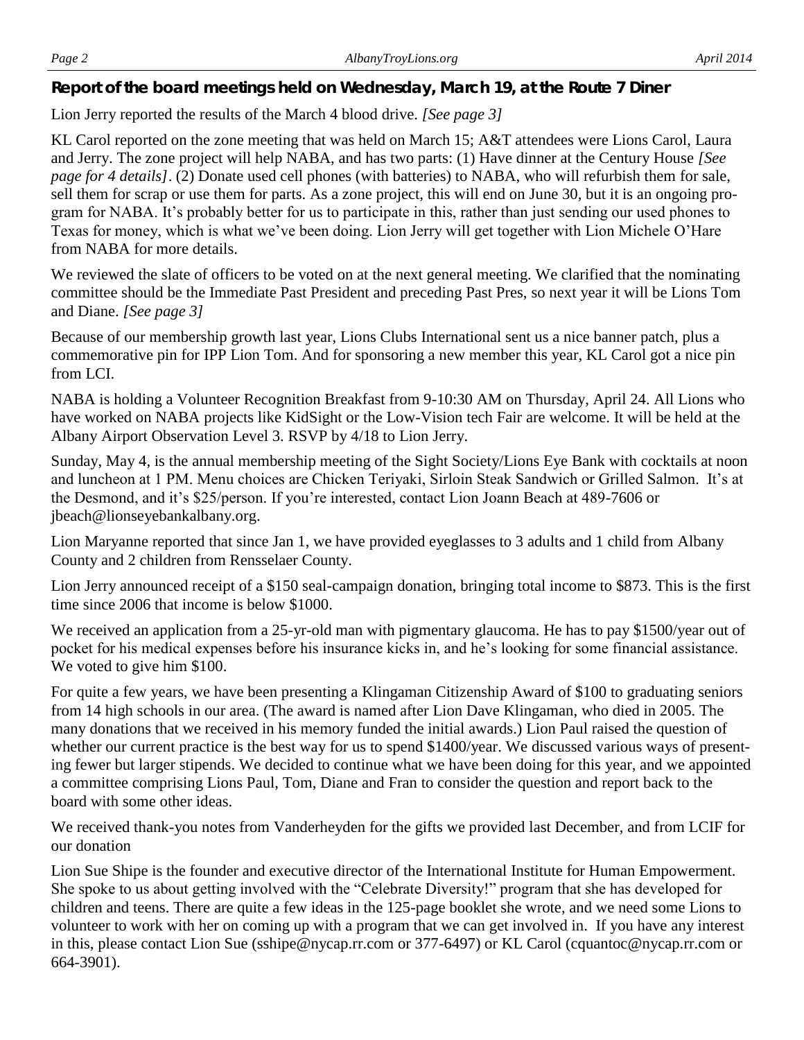*Report of the board meetings held on Wednesday, March 19, at the Route 7 Diner* 

Lion Jerry reported the results of the March 4 blood drive. *[See page 3]*

KL Carol reported on the zone meeting that was held on March 15; A&T attendees were Lions Carol, Laura and Jerry. The zone project will help NABA, and has two parts: (1) Have dinner at the Century House *[See page for 4 details]*. (2) Donate used cell phones (with batteries) to NABA, who will refurbish them for sale, sell them for scrap or use them for parts. As a zone project, this will end on June 30, but it is an ongoing program for NABA. It's probably better for us to participate in this, rather than just sending our used phones to Texas for money, which is what we've been doing. Lion Jerry will get together with Lion Michele O'Hare from NABA for more details.

We reviewed the slate of officers to be voted on at the next general meeting. We clarified that the nominating committee should be the Immediate Past President and preceding Past Pres, so next year it will be Lions Tom and Diane. *[See page 3]*

Because of our membership growth last year, Lions Clubs International sent us a nice banner patch, plus a commemorative pin for IPP Lion Tom. And for sponsoring a new member this year, KL Carol got a nice pin from LCI.

NABA is holding a Volunteer Recognition Breakfast from 9-10:30 AM on Thursday, April 24. All Lions who have worked on NABA projects like KidSight or the Low-Vision tech Fair are welcome. It will be held at the Albany Airport Observation Level 3. RSVP by 4/18 to Lion Jerry.

Sunday, May 4, is the annual membership meeting of the Sight Society/Lions Eye Bank with cocktails at noon and luncheon at 1 PM. Menu choices are Chicken Teriyaki, Sirloin Steak Sandwich or Grilled Salmon. It's at the Desmond, and it's \$25/person. If you're interested, contact Lion Joann Beach at 489-7606 or jbeach@lionseyebankalbany.org.

Lion Maryanne reported that since Jan 1, we have provided eyeglasses to 3 adults and 1 child from Albany County and 2 children from Rensselaer County.

Lion Jerry announced receipt of a \$150 seal-campaign donation, bringing total income to \$873. This is the first time since 2006 that income is below \$1000.

We received an application from a 25-yr-old man with pigmentary glaucoma. He has to pay \$1500/year out of pocket for his medical expenses before his insurance kicks in, and he's looking for some financial assistance. We voted to give him \$100.

For quite a few years, we have been presenting a Klingaman Citizenship Award of \$100 to graduating seniors from 14 high schools in our area. (The award is named after Lion Dave Klingaman, who died in 2005. The many donations that we received in his memory funded the initial awards.) Lion Paul raised the question of whether our current practice is the best way for us to spend \$1400/year. We discussed various ways of presenting fewer but larger stipends. We decided to continue what we have been doing for this year, and we appointed a committee comprising Lions Paul, Tom, Diane and Fran to consider the question and report back to the board with some other ideas.

We received thank-you notes from Vanderheyden for the gifts we provided last December, and from LCIF for our donation

Lion Sue Shipe is the founder and executive director of the International Institute for Human Empowerment. She spoke to us about getting involved with the "Celebrate Diversity!" program that she has developed for children and teens. There are quite a few ideas in the 125-page booklet she wrote, and we need some Lions to volunteer to work with her on coming up with a program that we can get involved in. If you have any interest in this, please contact Lion Sue (sshipe@nycap.rr.com or 377-6497) or KL Carol (cquantoc@nycap.rr.com or 664-3901).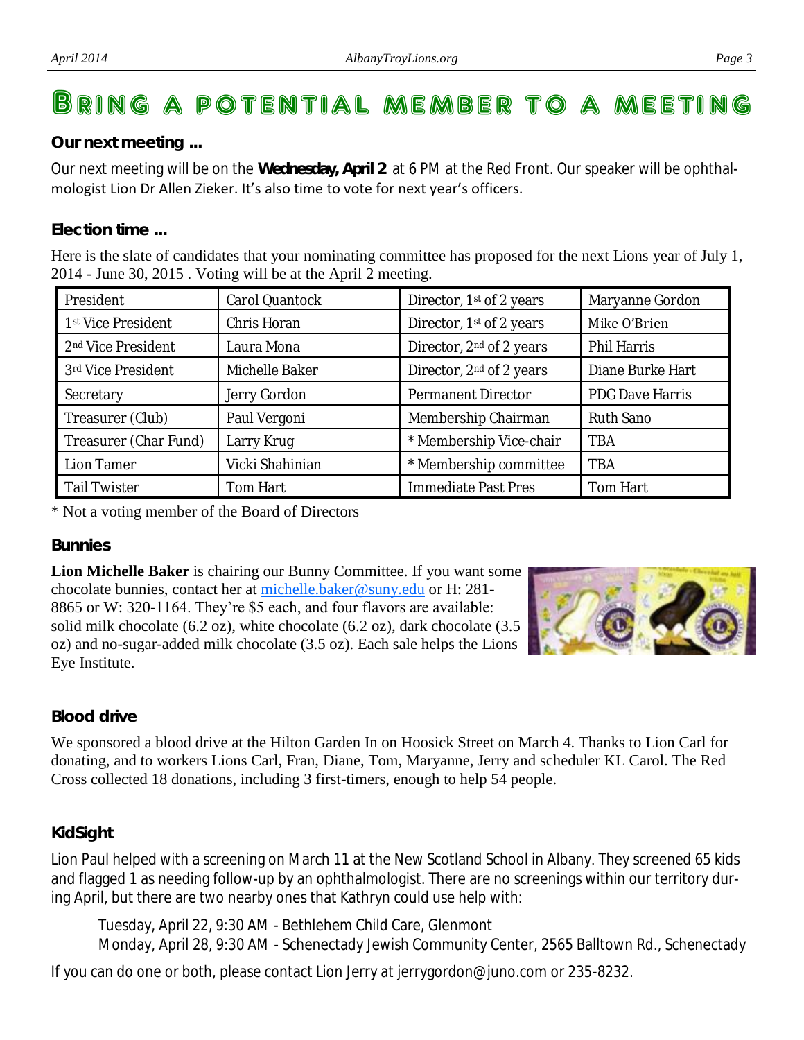## BRING A POTENTIAL MEMBER TO A MEET

#### *Our next meeting ...*

Our next meeting will be on the **Wednesday, April 2** at 6 PM at the Red Front. Our speaker will be ophthalmologist Lion Dr Allen Zieker. It's also time to vote for next year's officers.

#### *Election time ...*

Here is the slate of candidates that your nominating committee has proposed for the next Lions year of July 1, 2014 - June 30, 2015 . Voting will be at the April 2 meeting.

| President                      | Carol Quantock  | Director, 1 <sup>st</sup> of 2 years | Maryanne Gordon        |  |
|--------------------------------|-----------------|--------------------------------------|------------------------|--|
| 1 <sup>st</sup> Vice President | Chris Horan     | Director, 1st of 2 years             | Mike O'Brien           |  |
| 2 <sup>nd</sup> Vice President | Laura Mona      | Director, 2 <sup>nd</sup> of 2 years | Phil Harris            |  |
| 3rd Vice President             | Michelle Baker  | Director, 2 <sup>nd</sup> of 2 years | Diane Burke Hart       |  |
| Secretary                      | Jerry Gordon    | Permanent Director                   | <b>PDG Dave Harris</b> |  |
| Treasurer (Club)               | Paul Vergoni    | Membership Chairman                  | Ruth Sano              |  |
| Treasurer (Char Fund)          | Larry Krug      | * Membership Vice-chair              | <b>TBA</b>             |  |
| Lion Tamer                     | Vicki Shahinian | * Membership committee               | <b>TBA</b>             |  |
| <b>Tail Twister</b>            | Tom Hart        | Immediate Past Pres                  | Tom Hart               |  |

\* Not a voting member of the Board of Directors

#### *Bunnies*

**Lion Michelle Baker** is chairing our Bunny Committee. If you want some chocolate bunnies, contact her at [michelle.baker@suny.edu](mailto:michelle.baker@suny.edu) or H: 281-8865 or W: 320-1164. They're \$5 each, and four flavors are available: solid milk chocolate (6.2 oz), white chocolate (6.2 oz), dark chocolate (3.5 oz) and no-sugar-added milk chocolate (3.5 oz). Each sale helps the Lions Eye Institute.



#### *Blood drive*

We sponsored a blood drive at the Hilton Garden In on Hoosick Street on March 4. Thanks to Lion Carl for donating, and to workers Lions Carl, Fran, Diane, Tom, Maryanne, Jerry and scheduler KL Carol. The Red Cross collected 18 donations, including 3 first-timers, enough to help 54 people.

#### *KidSight*

Lion Paul helped with a screening on March 11 at the New Scotland School in Albany. They screened 65 kids and flagged 1 as needing follow-up by an ophthalmologist. There are no screenings within our territory during April, but there are two nearby ones that Kathryn could use help with:

Tuesday, April 22, 9:30 AM - Bethlehem Child Care, Glenmont Monday, April 28, 9:30 AM - Schenectady Jewish Community Center, 2565 Balltown Rd., Schenectady

If you can do one or both, please contact Lion Jerry at jerrygordon@juno.com or 235-8232.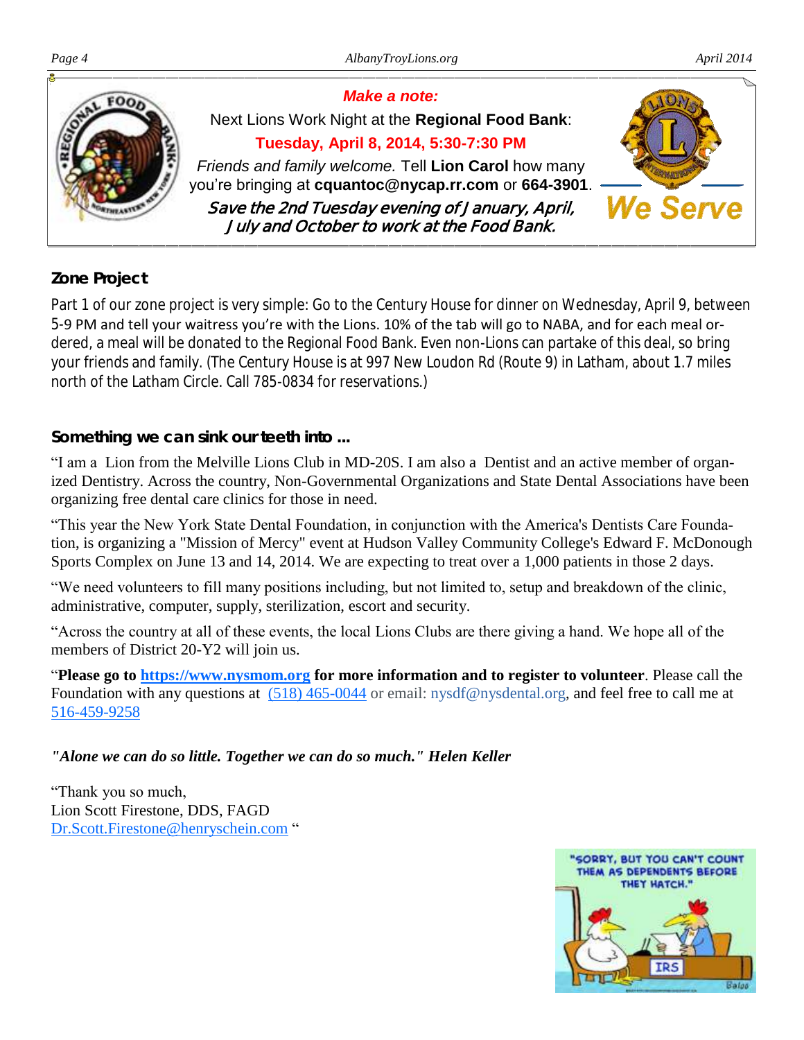

#### *Zone Project*

Part 1 of our zone project is very simple: Go to the Century House for dinner on Wednesday, April 9, between 5-9 PM and tell your waitress you're with the Lions. 10% of the tab will go to NABA, and for each meal ordered, a meal will be donated to the Regional Food Bank. Even non-Lions can partake of this deal, so bring your friends and family. (The Century House is at 997 New Loudon Rd (Route 9) in Latham, about 1.7 miles north of the Latham Circle. Call 785-0834 for reservations.)

#### *Something we can sink our teeth into ...*

"I am a Lion from the Melville Lions Club in MD-20S. I am also a Dentist and an active member of organized Dentistry. Across the country, Non-Governmental Organizations and State Dental Associations have been organizing free dental care clinics for those in need.

"This year the New York State Dental Foundation, in conjunction with the America's Dentists Care Foundation, is organizing a "Mission of Mercy" event at Hudson Valley Community College's Edward F. McDonough [Sports Complex](https://www.hvcc.edu/campusmap/campus_map.html) on June 13 and 14, 2014. We are expecting to treat over a 1,000 patients in those 2 days.

"We need volunteers to fill many positions including, but not limited to, setup and breakdown of the clinic, administrative, computer, supply, sterilization, escort and security.

"Across the country at all of these events, the local Lions Clubs are there giving a hand. We hope all of the members of District 20-Y2 will join us.

"**Please go to [https://www.nysmom.org](https://www.nysmom.org/) for more information and to register to volunteer**. Please call the Foundation with any questions at [\(518\) 465-0044](tel:%28518%29%20465-0044) or email: [nysdf@nysdental.org, and f](mailto:nysdf@nysdental.org)eel free to call me at [516-459-9258](tel:516-459-9258)

#### *"Alone we can do so little. Together we can do so much." Helen Keller*

"Thank you so much, Lion Scott Firestone, DDS, FAGD [Dr.Scott.Firestone@henryschein.com](mailto:Dr.Scott.Firestone@henryschein.com) "

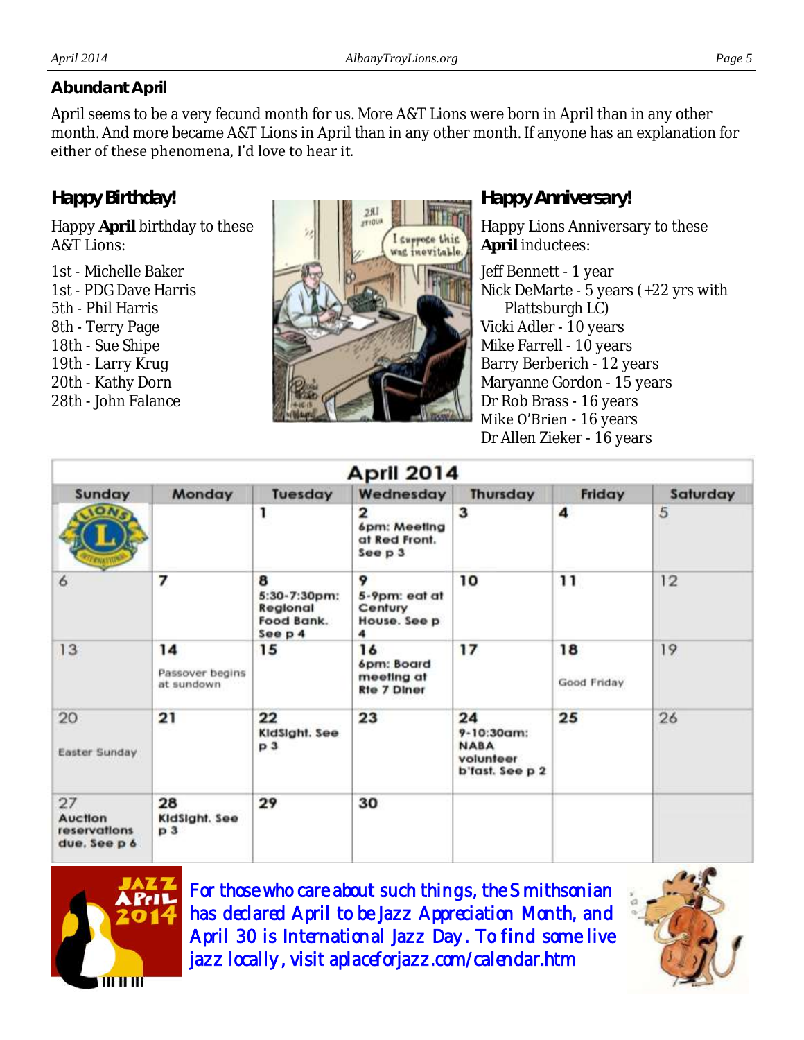#### *Abundant April*

April seems to be a very fecund month for us. More A&T Lions were born in April than in any other month. And more became A&T Lions in April than in any other month. If anyone has an explanation for either of these phenomena, I'd love to hear it.

#### *Happy Birthday!*

Happy **April** birthday to these A&T Lions:

1st - Michelle Baker 1st - PDG Dave Harris 5th - Phil Harris 8th - Terry Page 18th - Sue Shipe 19th - Larry Krug 20th - Kathy Dorn 28th - John Falance



#### *Happy Anniversary!*

Happy Lions Anniversary to these **April** inductees:

Jeff Bennett - 1 year Nick DeMarte - 5 years (+22 yrs with Plattsburgh LC) Vicki Adler - 10 years Mike Farrell - 10 years Barry Berberich - 12 years Maryanne Gordon - 15 years Dr Rob Brass - 16 years Mike O'Brien - 16 years Dr Allen Zieker - 16 years

| April 2014                                           |                                       |                                                          |                                                      |                                                                 |                   |          |  |
|------------------------------------------------------|---------------------------------------|----------------------------------------------------------|------------------------------------------------------|-----------------------------------------------------------------|-------------------|----------|--|
| Sunday                                               | Monday                                | Tuesday                                                  | Wednesday                                            | <b>Thursday</b>                                                 | Friday            | Saturday |  |
| <b>ON</b> <sub>s</sub>                               |                                       | 1                                                        | 2<br>6pm: Meeting<br>at Red Front.<br>See p 3        | 3                                                               | 4                 | 5        |  |
| 6                                                    | 7                                     | 8<br>5:30-7:30pm:<br>Regional<br>Food Bank.<br>See $p$ 4 | 9<br>5-9pm: eat at<br>Century<br>House. See p<br>4   | 10                                                              | 11                | 12       |  |
| 13                                                   | 14<br>Passover begins<br>at sundown   | 15                                                       | 16<br>6pm: Board<br>meeting at<br><b>Rte 7 Diner</b> | 17                                                              | 18<br>Good Friday | 19       |  |
| 20<br>Easter Sunday                                  | 21                                    | 22<br>KidSight. See<br>p <sub>3</sub>                    | 23                                                   | 24<br>9-10:30am:<br><b>NABA</b><br>volunteer<br>b'fast. See p 2 | 25                | 26       |  |
| 27<br><b>Auction</b><br>reservations<br>due. See p 6 | 28<br>KidSight. See<br>p <sub>3</sub> | 29                                                       | 30                                                   |                                                                 |                   |          |  |



For those who care about such things, the Smithsonian has declared April to be Jazz Appreciation Month, and April 30 is International Jazz Day. To find some live jazz locally, visit aplaceforjazz.com/calendar.htm